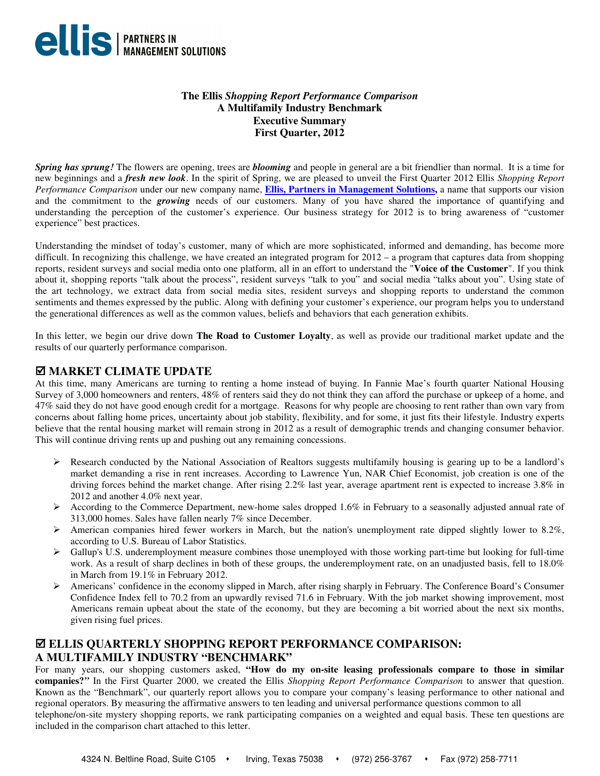

#### **The Ellis** *Shopping Report Performance Comparison*  **A Multifamily Industry Benchmark Executive Summary First Quarter, 2012**

*Spring has sprung!* The flowers are opening, trees are *blooming* and people in general are a bit friendlier than normal. It is a time for new beginnings and a *fresh new look*. In the spirit of Spring, we are pleased to unveil the First Quarter 2012 Ellis *Shopping Report Performance Comparison* under our new company name, **Ellis, Partners in Management Solutions,** a name that supports our vision and the commitment to the *growing* needs of our customers. Many of you have shared the importance of quantifying and understanding the perception of the customer's experience. Our business strategy for 2012 is to bring awareness of "customer experience" best practices.

Understanding the mindset of today's customer, many of which are more sophisticated, informed and demanding, has become more difficult. In recognizing this challenge, we have created an integrated program for  $2012 - a$  program that captures data from shopping reports, resident surveys and social media onto one platform, all in an effort to understand the "**Voice of the Customer**". If you think about it, shopping reports "talk about the process", resident surveys "talk to you" and social media "talks about you". Using state of the art technology, we extract data from social media sites, resident surveys and shopping reports to understand the common sentiments and themes expressed by the public. Along with defining your customer's experience, our program helps you to understand the generational differences as well as the common values, beliefs and behaviors that each generation exhibits.

In this letter, we begin our drive down **The Road to Customer Loyalty**, as well as provide our traditional market update and the results of our quarterly performance comparison.

### **MARKET CLIMATE UPDATE**

At this time, many Americans are turning to renting a home instead of buying. In Fannie Mae's fourth quarter National Housing Survey of 3,000 homeowners and renters, 48% of renters said they do not think they can afford the purchase or upkeep of a home, and 47% said they do not have good enough credit for a mortgage. Reasons for why people are choosing to rent rather than own vary from concerns about falling home prices, uncertainty about job stability, flexibility, and for some, it just fits their lifestyle. Industry experts believe that the rental housing market will remain strong in 2012 as a result of demographic trends and changing consumer behavior. This will continue driving rents up and pushing out any remaining concessions.

- $\triangleright$  Research conducted by the National Association of Realtors suggests multifamily housing is gearing up to be a landlord's market demanding a rise in rent increases. According to Lawrence Yun, NAR Chief Economist, job creation is one of the driving forces behind the market change. After rising 2.2% last year, average apartment rent is expected to increase 3.8% in 2012 and another 4.0% next year.
- According to the Commerce Department, new-home sales dropped 1.6% in February to a seasonally adjusted annual rate of 313,000 homes. Sales have fallen nearly 7% since December.
- $\triangleright$  American companies hired fewer workers in March, but the nation's unemployment rate dipped slightly lower to 8.2%, according to U.S. Bureau of Labor Statistics.
- $\triangleright$  Gallup's U.S. underemployment measure combines those unemployed with those working part-time but looking for full-time work. As a result of sharp declines in both of these groups, the underemployment rate, on an unadjusted basis, fell to 18.0% in March from 19.1% in February 2012.
- Americans' confidence in the economy slipped in March, after rising sharply in February. The Conference Board's Consumer Confidence Index fell to 70.2 from an upwardly revised 71.6 in February. With the job market showing improvement, most Americans remain upbeat about the state of the economy, but they are becoming a bit worried about the next six months, given rising fuel prices.

## **ELLIS QUARTERLY SHOPPING REPORT PERFORMANCE COMPARISON: A MULTIFAMILY INDUSTRY "BENCHMARK"**

For many years, our shopping customers asked, **"How do my on-site leasing professionals compare to those in similar companies?***"* In the First Quarter 2000, we created the Ellis *Shopping Report Performance Comparison* to answer that question. Known as the "Benchmark", our quarterly report allows you to compare your company's leasing performance to other national and regional operators. By measuring the affirmative answers to ten leading and universal performance questions common to all telephone/on-site mystery shopping reports, we rank participating companies on a weighted and equal basis. These ten questions are included in the comparison chart attached to this letter.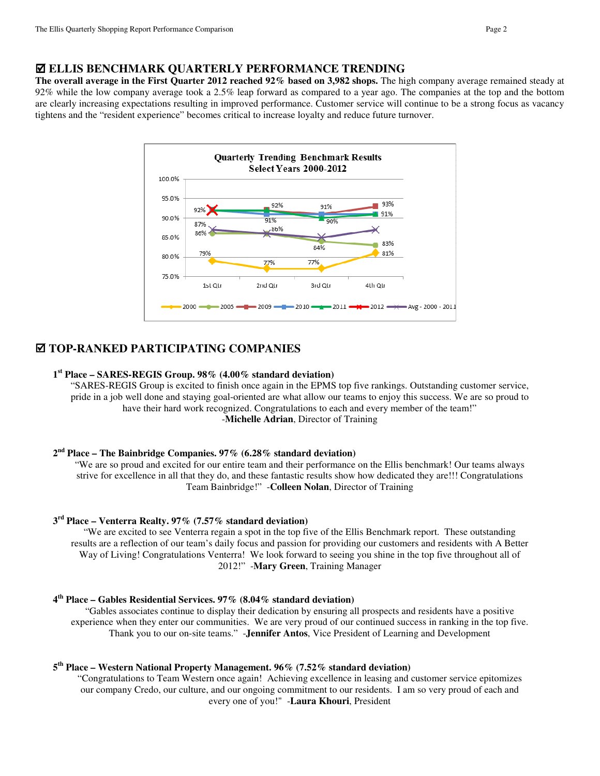**The overall average in the First Quarter 2012 reached 92% based on 3,982 shops.** The high company average remained steady at 92% while the low company average took a 2.5% leap forward as compared to a year ago. The companies at the top and the bottom are clearly increasing expectations resulting in improved performance. Customer service will continue to be a strong focus as vacancy tightens and the "resident experience" becomes critical to increase loyalty and reduce future turnover.



## **TOP-RANKED PARTICIPATING COMPANIES**

#### **1 st Place – SARES-REGIS Group. 98% (4.00% standard deviation)**

"SARES-REGIS Group is excited to finish once again in the EPMS top five rankings. Outstanding customer service, pride in a job well done and staying goal-oriented are what allow our teams to enjoy this success. We are so proud to have their hard work recognized. Congratulations to each and every member of the team!" -**Michelle Adrian**, Director of Training

#### **2 nd Place – The Bainbridge Companies. 97% (6.28% standard deviation)**

"We are so proud and excited for our entire team and their performance on the Ellis benchmark! Our teams always strive for excellence in all that they do, and these fantastic results show how dedicated they are!!! Congratulations Team Bainbridge!" -**Colleen Nolan**, Director of Training

#### **3 rd Place – Venterra Realty. 97% (7.57% standard deviation)**

"We are excited to see Venterra regain a spot in the top five of the Ellis Benchmark report. These outstanding results are a reflection of our team's daily focus and passion for providing our customers and residents with A Better Way of Living! Congratulations Venterra! We look forward to seeing you shine in the top five throughout all of 2012!" -**Mary Green**, Training Manager

#### **4 th Place – Gables Residential Services. 97% (8.04% standard deviation)**

"Gables associates continue to display their dedication by ensuring all prospects and residents have a positive experience when they enter our communities. We are very proud of our continued success in ranking in the top five. Thank you to our on-site teams." -**Jennifer Antos**, Vice President of Learning and Development

#### **5 th Place – Western National Property Management. 96% (7.52% standard deviation)**

"Congratulations to Team Western once again! Achieving excellence in leasing and customer service epitomizes our company Credo, our culture, and our ongoing commitment to our residents. I am so very proud of each and every one of you!" -**Laura Khouri**, President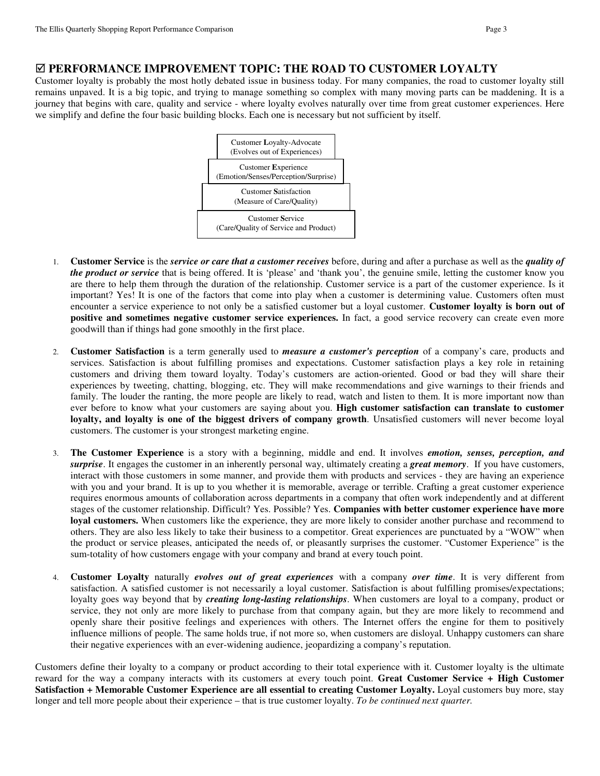#### **PERFORMANCE IMPROVEMENT TOPIC: THE ROAD TO CUSTOMER LOYALTY**

Customer loyalty is probably the most hotly debated issue in business today. For many companies, the road to customer loyalty still remains unpaved. It is a big topic, and trying to manage something so complex with many moving parts can be maddening. It is a journey that begins with care, quality and service - where loyalty evolves naturally over time from great customer experiences. Here we simplify and define the four basic building blocks. Each one is necessary but not sufficient by itself.



- 1. **Customer Service** is the *service or care that a customer receives* before, during and after a purchase as well as the *quality of the product or service* that is being offered. It is 'please' and 'thank you', the genuine smile, letting the customer know you are there to help them through the duration of the relationship. Customer service is a part of the customer experience. Is it important? Yes! It is one of the factors that come into play when a customer is determining value. Customers often must encounter a service experience to not only be a satisfied customer but a loyal customer. **Customer loyalty is born out of positive and sometimes negative customer service experiences.** In fact, a good service recovery can create even more goodwill than if things had gone smoothly in the first place.
- 2. **Customer Satisfaction** is a term generally used to *measure a customer's perception* of a company's care, products and services. Satisfaction is about fulfilling promises and expectations. Customer satisfaction plays a key role in retaining customers and driving them toward loyalty. Today's customers are action-oriented. Good or bad they will share their experiences by tweeting, chatting, blogging, etc. They will make recommendations and give warnings to their friends and family. The louder the ranting, the more people are likely to read, watch and listen to them. It is more important now than ever before to know what your customers are saying about you. **High customer satisfaction can translate to customer loyalty, and loyalty is one of the biggest drivers of company growth**. Unsatisfied customers will never become loyal customers. The customer is your strongest marketing engine.
- 3. **The Customer Experience** is a story with a beginning, middle and end. It involves *emotion, senses, perception, and surprise*. It engages the customer in an inherently personal way, ultimately creating a *great memory*. If you have customers, interact with those customers in some manner, and provide them with products and services - they are having an experience with you and your brand. It is up to you whether it is memorable, average or terrible. Crafting a great customer experience requires enormous amounts of collaboration across departments in a company that often work independently and at different stages of the customer relationship. Difficult? Yes. Possible? Yes. **Companies with better customer experience have more loyal customers.** When customers like the experience, they are more likely to consider another purchase and recommend to others. They are also less likely to take their business to a competitor. Great experiences are punctuated by a "WOW" when the product or service pleases, anticipated the needs of, or pleasantly surprises the customer. "Customer Experience" is the sum-totality of how customers engage with your company and brand at every touch point.
- 4. **Customer Loyalty** naturally *evolves out of great experiences* with a company *over time*. It is very different from satisfaction. A satisfied customer is not necessarily a loyal customer. Satisfaction is about fulfilling promises/expectations; loyalty goes way beyond that by *creating long-lasting relationships*. When customers are loyal to a company, product or service, they not only are more likely to purchase from that company again, but they are more likely to recommend and openly share their positive feelings and experiences with others. The Internet offers the engine for them to positively influence millions of people. The same holds true, if not more so, when customers are disloyal. Unhappy customers can share their negative experiences with an ever-widening audience, jeopardizing a company's reputation.

Customers define their loyalty to a company or product according to their total experience with it. Customer loyalty is the ultimate reward for the way a company interacts with its customers at every touch point. **Great Customer Service + High Customer Satisfaction + Memorable Customer Experience are all essential to creating Customer Loyalty.** Loyal customers buy more, stay longer and tell more people about their experience – that is true customer loyalty. *To be continued next quarter.*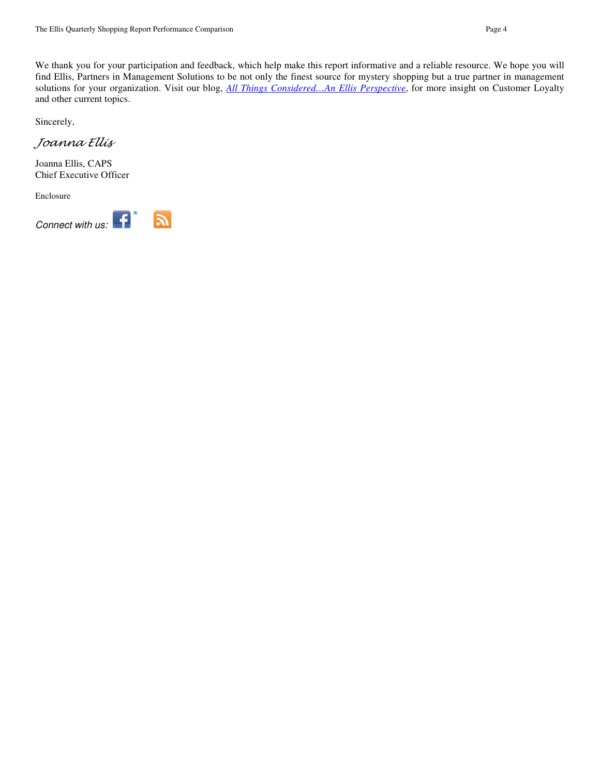We thank you for your participation and feedback, which help make this report informative and a reliable resource. We hope you will find Ellis, Partners in Management Solutions to be not only the finest source for mystery shopping but a true partner in management solutions for your organization. Visit our blog, *All Things Considered…An Ellis Perspective*, for more insight on Customer Loyalty and other current topics.

Sincerely,

Joanna Ellis

Joanna Ellis, CAPS Chief Executive Officer

Enclosure



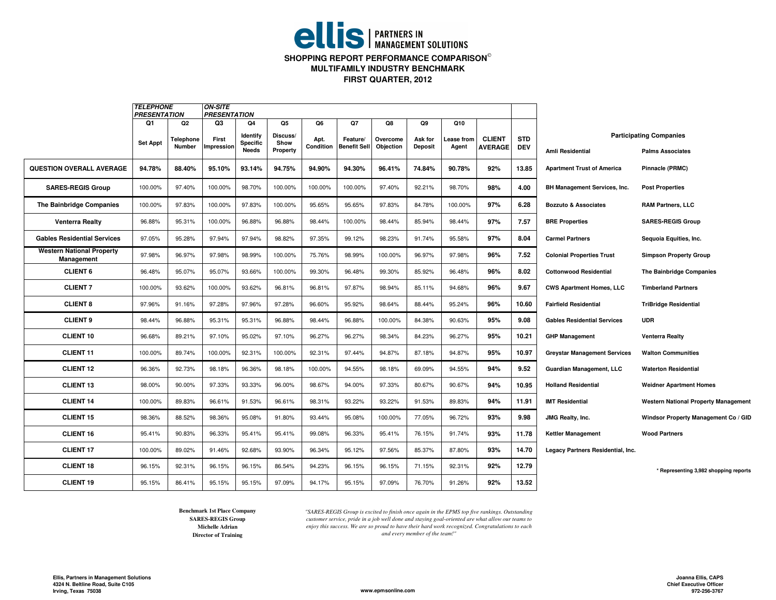# **ellis** | PARTNERS IN **SHOPPING REPORT PERFORMANCE COMPARISON**

**MULTIFAMILY INDUSTRY BENCHMARK**

**FIRST QUARTER, 2012**

|                                                | <b>TELEPHONE</b><br><b>PRESENTATION</b> |                                  | <b>ON-SITE</b><br><b>PRESENTATION</b> |                                     |                                    |                         |                                       |                             |                                 |                           |                                 |                          |                                     |                                                           |
|------------------------------------------------|-----------------------------------------|----------------------------------|---------------------------------------|-------------------------------------|------------------------------------|-------------------------|---------------------------------------|-----------------------------|---------------------------------|---------------------------|---------------------------------|--------------------------|-------------------------------------|-----------------------------------------------------------|
|                                                | Q1<br><b>Set Appt</b>                   | Q2<br>Telephone<br><b>Number</b> | Q3<br>First<br>mpression              | Q4<br>Identify<br>Specific<br>Needs | Q5<br>Discuss/<br>Show<br>Property | Q6<br>Apt.<br>Condition | Q7<br>Feature/<br><b>Benefit Sell</b> | Q8<br>Overcome<br>Objection | Q9<br>Ask for<br><b>Deposit</b> | Q10<br>ease from<br>Agent | <b>CLIENT</b><br><b>AVERAGE</b> | <b>STD</b><br><b>DEV</b> | <b>Amli Residential</b>             | <b>Participating Companies</b><br><b>Palms Associates</b> |
| <b>QUESTION OVERALL AVERAGE</b>                | 94.78%                                  | 88.40%                           | 95.10%                                | 93.14%                              | 94.75%                             | 94.90%                  | 94.30%                                | 96.41%                      | 74.84%                          | 90.78%                    | 92%                             | 13.85                    | <b>Apartment Trust of America</b>   | Pinnacle (PRMC)                                           |
| <b>SARES-REGIS Group</b>                       | 100.00%                                 | 97.40%                           | 100.00%                               | 98.70%                              | 100.00%                            | 100.00%                 | 100.00%                               | 97.40%                      | 92.21%                          | 98.70%                    | 98%                             | 4.00                     | BH Management Services, Inc.        | <b>Post Properties</b>                                    |
| <b>The Bainbridge Companies</b>                | 100.00%                                 | 97.83%                           | 100.00%                               | 97.83%                              | 100.00%                            | 95.65%                  | 95.65%                                | 97.83%                      | 84.78%                          | 100.00%                   | 97%                             | 6.28                     | <b>Bozzuto &amp; Associates</b>     | <b>RAM Partners, LLC</b>                                  |
| <b>Venterra Realty</b>                         | 96.88%                                  | 95.31%                           | 100.00%                               | 96.88%                              | 96.88%                             | 98.44%                  | 100.00%                               | 98.44%                      | 85.94%                          | 98.44%                    | 97%                             | 7.57                     | <b>BRE Properties</b>               | <b>SARES-REGIS Group</b>                                  |
| <b>Gables Residential Services</b>             | 97.05%                                  | 95.28%                           | 97.94%                                | 97.94%                              | 98.82%                             | 97.35%                  | 99.12%                                | 98.23%                      | 91.74%                          | 95.58%                    | 97%                             | 8.04                     | <b>Carmel Partners</b>              | Sequoia Equities, Inc.                                    |
| <b>Western National Property</b><br>Management | 97.98%                                  | 96.97%                           | 97.98%                                | 98.99%                              | 100.00%                            | 75.76%                  | 98.99%                                | 100.00%                     | 96.97%                          | 97.98%                    | 96%                             | 7.52                     | <b>Colonial Properties Trust</b>    | <b>Simpson Property Group</b>                             |
| <b>CLIENT 6</b>                                | 96.48%                                  | 95.07%                           | 95.07%                                | 93.66%                              | 100.00%                            | 99.30%                  | 96.48%                                | 99.30%                      | 85.92%                          | 96.48%                    | 96%                             | 8.02                     | <b>Cottonwood Residential</b>       | <b>The Bainbridge Companies</b>                           |
| <b>CLIENT 7</b>                                | 100.00%                                 | 93.62%                           | 100.00%                               | 93.62%                              | 96.81%                             | 96.81%                  | 97.87%                                | 98.94%                      | 85.11%                          | 94.68%                    | 96%                             | 9.67                     | <b>CWS Apartment Homes, LLC</b>     | <b>Timberland Partners</b>                                |
| <b>CLIENT 8</b>                                | 97.96%                                  | 91.16%                           | 97.28%                                | 97.96%                              | 97.28%                             | 96.60%                  | 95.92%                                | 98.64%                      | 88.44%                          | 95.24%                    | 96%                             | 10.60                    | <b>Fairfield Residential</b>        | <b>TriBridge Residential</b>                              |
| <b>CLIENT 9</b>                                | 98.44%                                  | 96.88%                           | 95.31%                                | 95.31%                              | 96.88%                             | 98.44%                  | 96.88%                                | 100.00%                     | 84.38%                          | 90.63%                    | 95%                             | 9.08                     | <b>Gables Residential Services</b>  | <b>UDR</b>                                                |
| <b>CLIENT 10</b>                               | 96.68%                                  | 89.21%                           | 97.10%                                | 95.02%                              | 97.10%                             | 96.27%                  | 96.27%                                | 98.34%                      | 84.23%                          | 96.27%                    | 95%                             | 10.21                    | <b>GHP Management</b>               | Venterra Realty                                           |
| <b>CLIENT 11</b>                               | 100.00%                                 | 89.74%                           | 100.00%                               | 92.31%                              | 100.00%                            | 92.31%                  | 97.44%                                | 94.87%                      | 87.18%                          | 94.87%                    | 95%                             | 10.97                    | <b>Greystar Management Services</b> | <b>Walton Communities</b>                                 |
| <b>CLIENT 12</b>                               | 96.36%                                  | 92.73%                           | 98.18%                                | 96.36%                              | 98.18%                             | 100.00%                 | 94.55%                                | 98.18%                      | 69.09%                          | 94.55%                    | 94%                             | 9.52                     | <b>Guardian Management, LLC</b>     | <b>Waterton Residential</b>                               |
| <b>CLIENT 13</b>                               | 98.00%                                  | 90.00%                           | 97.33%                                | 93.33%                              | 96.00%                             | 98.67%                  | 94.00%                                | 97.33%                      | 80.67%                          | 90.67%                    | 94%                             | 10.95                    | <b>Holland Residential</b>          | <b>Weidner Apartment Homes</b>                            |
| <b>CLIENT 14</b>                               | 100.00%                                 | 89.83%                           | 96.61%                                | 91.53%                              | 96.61%                             | 98.31%                  | 93.22%                                | 93.22%                      | 91.53%                          | 89.83%                    | 94%                             | 11.91                    | <b>IMT Residential</b>              | <b>Western National Property Management</b>               |
| <b>CLIENT 15</b>                               | 98.36%                                  | 88.52%                           | 98.36%                                | 95.08%                              | 91.80%                             | 93.44%                  | 95.08%                                | 100.00%                     | 77.05%                          | 96.72%                    | 93%                             | 9.98                     | JMG Realty, Inc.                    | Windsor Property Management Co / GID                      |
| <b>CLIENT 16</b>                               | 95.41%                                  | 90.83%                           | 96.33%                                | 95.41%                              | 95.41%                             | 99.08%                  | 96.33%                                | 95.41%                      | 76.15%                          | 91.74%                    | 93%                             | 11.78                    | <b>Kettler Management</b>           | <b>Wood Partners</b>                                      |
| <b>CLIENT 17</b>                               | 100.00%                                 | 89.02%                           | 91.46%                                | 92.68%                              | 93.90%                             | 96.34%                  | 95.12%                                | 97.56%                      | 85.37%                          | 87.80%                    | 93%                             | 14.70                    | Legacy Partners Residential, Inc.   |                                                           |
| <b>CLIENT 18</b>                               | 96.15%                                  | 92.31%                           | 96.15%                                | 96.15%                              | 86.54%                             | 94.23%                  | 96.15%                                | 96.15%                      | 71.15%                          | 92.31%                    | 92%                             | 12.79                    |                                     | * Representing 3,982 shopping reports                     |
| <b>CLIENT 19</b>                               | 95.15%                                  | 86.41%                           | 95.15%                                | 95.15%                              | 97.09%                             | 94.17%                  | 95.15%                                | 97.09%                      | 76.70%                          | 91.26%                    | 92%                             | 13.52                    |                                     |                                                           |

**Director of Training SARES-REGIS GroupBenchmark 1st Place CompanyMichelle Adrian**

*"SARES-REGIS Group is excited to finish once again in the EPMS top five rankings. Outstanding customer service, pride in a job well done and staying goal-oriented are what allow our teams to enjoy this success. We are so proud to have their hard work recognized. Congratulations to each and every member of the team!"*

**www.epmsonline.com**